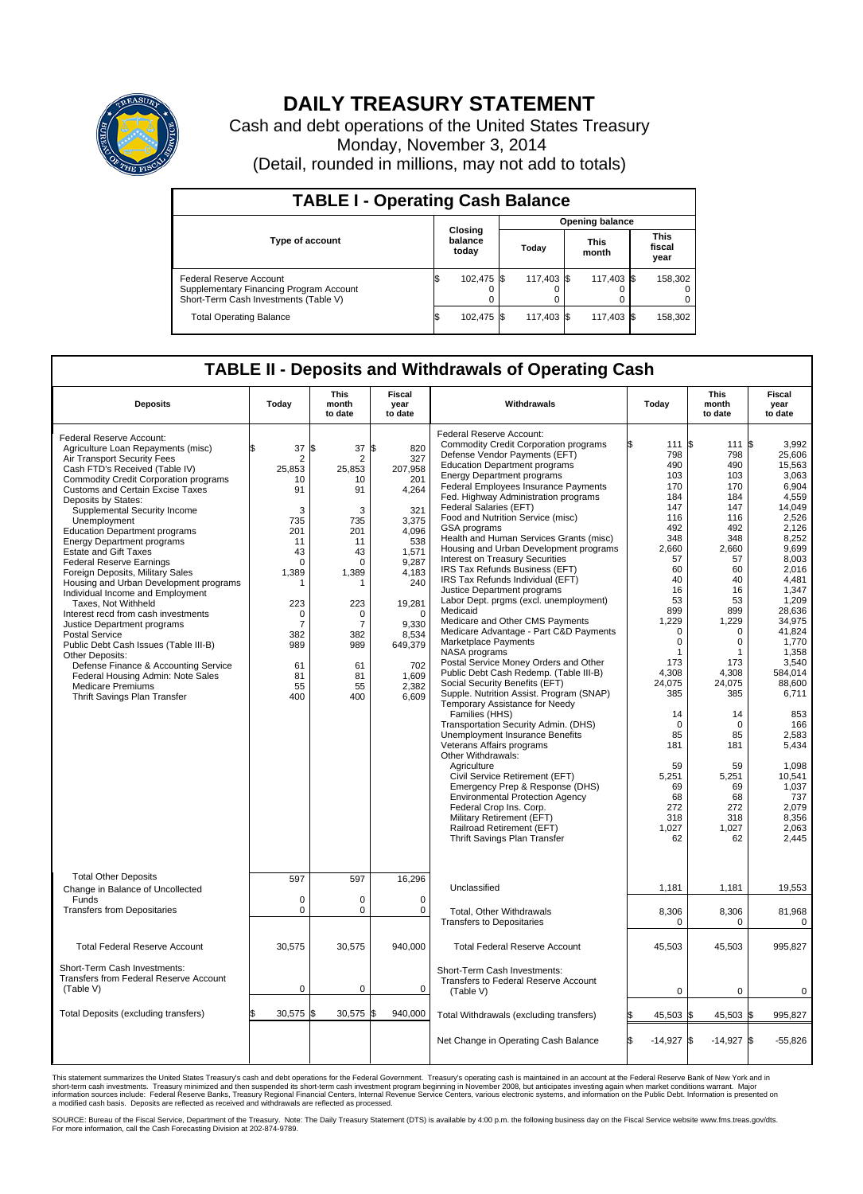

## **DAILY TREASURY STATEMENT**

Cash and debt operations of the United States Treasury Monday, November 3, 2014 (Detail, rounded in millions, may not add to totals)

| <b>TABLE I - Operating Cash Balance</b>                                                                     |    |                             |       |            |  |                      |  |                               |  |  |  |  |
|-------------------------------------------------------------------------------------------------------------|----|-----------------------------|-------|------------|--|----------------------|--|-------------------------------|--|--|--|--|
| <b>Opening balance</b>                                                                                      |    |                             |       |            |  |                      |  |                               |  |  |  |  |
| <b>Type of account</b>                                                                                      |    | Closing<br>balance<br>today | Today |            |  | <b>This</b><br>month |  | <b>This</b><br>fiscal<br>year |  |  |  |  |
| Federal Reserve Account<br>Supplementary Financing Program Account<br>Short-Term Cash Investments (Table V) |    | 102,475 \$                  |       | 117.403 \$ |  | 117,403 \$           |  | 158,302                       |  |  |  |  |
| <b>Total Operating Balance</b>                                                                              | ΙФ | 102,475 \$                  |       | 117,403 \$ |  | 117,403 \$           |  | 158,302                       |  |  |  |  |

## **TABLE II - Deposits and Withdrawals of Operating Cash**

| <b>Deposits</b>                                                                                                                                                                                                                                                                                                                                                                                                                                                                                                                                                                                                                                                                                                                                                                                                                                                                         | Today                                                                                                                                                                | This<br>month<br>to date                                                                                                                        | <b>Fiscal</b><br>year<br>to date                                                                                                                                                                   | Withdrawals                                                                                                                                                                                                                                                                                                                                                                                                                                                                                                                                                                                                                                                                                                                                                                                                                                                                                                                                                                                                                                                                                                                                                                                                                                                                                                                                                          | Today                                                                                                                                                                                                                                                                                       | <b>This</b><br>month<br>to date                                                                                                                                                                                                                                     | Fiscal<br>year<br>to date                                                                                                                                                                                                                                                                                                                            |
|-----------------------------------------------------------------------------------------------------------------------------------------------------------------------------------------------------------------------------------------------------------------------------------------------------------------------------------------------------------------------------------------------------------------------------------------------------------------------------------------------------------------------------------------------------------------------------------------------------------------------------------------------------------------------------------------------------------------------------------------------------------------------------------------------------------------------------------------------------------------------------------------|----------------------------------------------------------------------------------------------------------------------------------------------------------------------|-------------------------------------------------------------------------------------------------------------------------------------------------|----------------------------------------------------------------------------------------------------------------------------------------------------------------------------------------------------|----------------------------------------------------------------------------------------------------------------------------------------------------------------------------------------------------------------------------------------------------------------------------------------------------------------------------------------------------------------------------------------------------------------------------------------------------------------------------------------------------------------------------------------------------------------------------------------------------------------------------------------------------------------------------------------------------------------------------------------------------------------------------------------------------------------------------------------------------------------------------------------------------------------------------------------------------------------------------------------------------------------------------------------------------------------------------------------------------------------------------------------------------------------------------------------------------------------------------------------------------------------------------------------------------------------------------------------------------------------------|---------------------------------------------------------------------------------------------------------------------------------------------------------------------------------------------------------------------------------------------------------------------------------------------|---------------------------------------------------------------------------------------------------------------------------------------------------------------------------------------------------------------------------------------------------------------------|------------------------------------------------------------------------------------------------------------------------------------------------------------------------------------------------------------------------------------------------------------------------------------------------------------------------------------------------------|
| Federal Reserve Account:<br>Agriculture Loan Repayments (misc)<br>Air Transport Security Fees<br>Cash FTD's Received (Table IV)<br>Commodity Credit Corporation programs<br><b>Customs and Certain Excise Taxes</b><br>Deposits by States:<br>Supplemental Security Income<br>Unemployment<br><b>Education Department programs</b><br><b>Energy Department programs</b><br><b>Estate and Gift Taxes</b><br><b>Federal Reserve Earnings</b><br>Foreign Deposits, Military Sales<br>Housing and Urban Development programs<br>Individual Income and Employment<br>Taxes. Not Withheld<br>Interest recd from cash investments<br>Justice Department programs<br><b>Postal Service</b><br>Public Debt Cash Issues (Table III-B)<br>Other Deposits:<br>Defense Finance & Accounting Service<br>Federal Housing Admin: Note Sales<br><b>Medicare Premiums</b><br>Thrift Savings Plan Transfer | 37<br>\$<br>2<br>25,853<br>10<br>91<br>3<br>735<br>201<br>11<br>43<br>$\mathbf 0$<br>1,389<br>1<br>223<br>0<br>$\overline{7}$<br>382<br>989<br>61<br>81<br>55<br>400 | 37<br>\$<br>2<br>25,853<br>10<br>91<br>3<br>735<br>201<br>11<br>43<br>$\Omega$<br>1,389<br>223<br>0<br>7<br>382<br>989<br>61<br>81<br>55<br>400 | \$<br>820<br>327<br>207,958<br>201<br>4,264<br>321<br>3,375<br>4.096<br>538<br>1,571<br>9,287<br>4,183<br>240<br>19,281<br>$\Omega$<br>9.330<br>8,534<br>649,379<br>702<br>1,609<br>2,382<br>6,609 | Federal Reserve Account:<br><b>Commodity Credit Corporation programs</b><br>Defense Vendor Payments (EFT)<br><b>Education Department programs</b><br><b>Energy Department programs</b><br>Federal Employees Insurance Payments<br>Fed. Highway Administration programs<br>Federal Salaries (EFT)<br>Food and Nutrition Service (misc)<br>GSA programs<br>Health and Human Services Grants (misc)<br>Housing and Urban Development programs<br>Interest on Treasury Securities<br>IRS Tax Refunds Business (EFT)<br>IRS Tax Refunds Individual (EFT)<br>Justice Department programs<br>Labor Dept. prgms (excl. unemployment)<br>Medicaid<br>Medicare and Other CMS Payments<br>Medicare Advantage - Part C&D Payments<br>Marketplace Payments<br>NASA programs<br>Postal Service Money Orders and Other<br>Public Debt Cash Redemp. (Table III-B)<br>Social Security Benefits (EFT)<br>Supple. Nutrition Assist. Program (SNAP)<br>Temporary Assistance for Needy<br>Families (HHS)<br>Transportation Security Admin. (DHS)<br>Unemployment Insurance Benefits<br>Veterans Affairs programs<br>Other Withdrawals:<br>Agriculture<br>Civil Service Retirement (EFT)<br>Emergency Prep & Response (DHS)<br><b>Environmental Protection Agency</b><br>Federal Crop Ins. Corp.<br>Military Retirement (EFT)<br>Railroad Retirement (EFT)<br>Thrift Savings Plan Transfer | 111 \\$<br>798<br>490<br>103<br>170<br>184<br>147<br>116<br>492<br>348<br>2,660<br>57<br>60<br>40<br>16<br>53<br>899<br>1,229<br>$\mathbf 0$<br>$\mathbf 0$<br>1<br>173<br>4,308<br>24,075<br>385<br>14<br>$\mathbf 0$<br>85<br>181<br>59<br>5.251<br>69<br>68<br>272<br>318<br>1,027<br>62 | 111<br>798<br>490<br>103<br>170<br>184<br>147<br>116<br>492<br>348<br>2,660<br>57<br>60<br>40<br>16<br>53<br>899<br>1,229<br>0<br>0<br>1<br>173<br>4,308<br>24,075<br>385<br>14<br>$\mathbf 0$<br>85<br>181<br>59<br>5,251<br>69<br>68<br>272<br>318<br>1,027<br>62 | l\$<br>3.992<br>25,606<br>15.563<br>3,063<br>6,904<br>4,559<br>14,049<br>2,526<br>2,126<br>8,252<br>9,699<br>8,003<br>2,016<br>4.481<br>1,347<br>1,209<br>28.636<br>34,975<br>41,824<br>1,770<br>1.358<br>3,540<br>584,014<br>88,600<br>6,711<br>853<br>166<br>2,583<br>5,434<br>1,098<br>10.541<br>1,037<br>737<br>2,079<br>8,356<br>2,063<br>2,445 |
| <b>Total Other Deposits</b><br>Change in Balance of Uncollected                                                                                                                                                                                                                                                                                                                                                                                                                                                                                                                                                                                                                                                                                                                                                                                                                         | 597                                                                                                                                                                  | 597                                                                                                                                             | 16,296                                                                                                                                                                                             | Unclassified                                                                                                                                                                                                                                                                                                                                                                                                                                                                                                                                                                                                                                                                                                                                                                                                                                                                                                                                                                                                                                                                                                                                                                                                                                                                                                                                                         | 1,181                                                                                                                                                                                                                                                                                       | 1,181                                                                                                                                                                                                                                                               | 19,553                                                                                                                                                                                                                                                                                                                                               |
| Funds<br><b>Transfers from Depositaries</b>                                                                                                                                                                                                                                                                                                                                                                                                                                                                                                                                                                                                                                                                                                                                                                                                                                             | $\mathbf 0$<br>$\pmb{0}$                                                                                                                                             | $\Omega$<br>0                                                                                                                                   | $\Omega$<br>0                                                                                                                                                                                      | Total, Other Withdrawals<br><b>Transfers to Depositaries</b>                                                                                                                                                                                                                                                                                                                                                                                                                                                                                                                                                                                                                                                                                                                                                                                                                                                                                                                                                                                                                                                                                                                                                                                                                                                                                                         | 8,306<br>$\mathbf 0$                                                                                                                                                                                                                                                                        | 8,306<br>0                                                                                                                                                                                                                                                          | 81,968<br>$\mathbf 0$                                                                                                                                                                                                                                                                                                                                |
| <b>Total Federal Reserve Account</b>                                                                                                                                                                                                                                                                                                                                                                                                                                                                                                                                                                                                                                                                                                                                                                                                                                                    | 30,575                                                                                                                                                               | 30,575                                                                                                                                          | 940,000                                                                                                                                                                                            | <b>Total Federal Reserve Account</b>                                                                                                                                                                                                                                                                                                                                                                                                                                                                                                                                                                                                                                                                                                                                                                                                                                                                                                                                                                                                                                                                                                                                                                                                                                                                                                                                 | 45,503                                                                                                                                                                                                                                                                                      | 45,503                                                                                                                                                                                                                                                              | 995,827                                                                                                                                                                                                                                                                                                                                              |
| Short-Term Cash Investments:<br>Transfers from Federal Reserve Account<br>(Table V)                                                                                                                                                                                                                                                                                                                                                                                                                                                                                                                                                                                                                                                                                                                                                                                                     | $\mathbf 0$                                                                                                                                                          | $\mathbf 0$                                                                                                                                     | $\Omega$                                                                                                                                                                                           | Short-Term Cash Investments:<br>Transfers to Federal Reserve Account<br>(Table V)                                                                                                                                                                                                                                                                                                                                                                                                                                                                                                                                                                                                                                                                                                                                                                                                                                                                                                                                                                                                                                                                                                                                                                                                                                                                                    | 0                                                                                                                                                                                                                                                                                           | 0                                                                                                                                                                                                                                                                   | 0                                                                                                                                                                                                                                                                                                                                                    |
| Total Deposits (excluding transfers)                                                                                                                                                                                                                                                                                                                                                                                                                                                                                                                                                                                                                                                                                                                                                                                                                                                    | 30,575                                                                                                                                                               | 30,575<br>ß.                                                                                                                                    | l\$<br>940,000                                                                                                                                                                                     | Total Withdrawals (excluding transfers)                                                                                                                                                                                                                                                                                                                                                                                                                                                                                                                                                                                                                                                                                                                                                                                                                                                                                                                                                                                                                                                                                                                                                                                                                                                                                                                              | 45,503 \$                                                                                                                                                                                                                                                                                   | 45,503 \$                                                                                                                                                                                                                                                           | 995,827                                                                                                                                                                                                                                                                                                                                              |
|                                                                                                                                                                                                                                                                                                                                                                                                                                                                                                                                                                                                                                                                                                                                                                                                                                                                                         |                                                                                                                                                                      |                                                                                                                                                 |                                                                                                                                                                                                    | Net Change in Operating Cash Balance                                                                                                                                                                                                                                                                                                                                                                                                                                                                                                                                                                                                                                                                                                                                                                                                                                                                                                                                                                                                                                                                                                                                                                                                                                                                                                                                 | l\$<br>$-14,927$ \$                                                                                                                                                                                                                                                                         | $-14,927$ \$                                                                                                                                                                                                                                                        | $-55.826$                                                                                                                                                                                                                                                                                                                                            |

This statement summarizes the United States Treasury's cash and debt operations for the Federal Government. Treasury's operating cash is maintained in an account at the Federal Reserve Bank of New York and in<br>short-term ca

SOURCE: Bureau of the Fiscal Service, Department of the Treasury. Note: The Daily Treasury Statement (DTS) is available by 4:00 p.m. the following business day on the Fiscal Service website www.fms.treas.gov/dts.<br>For more